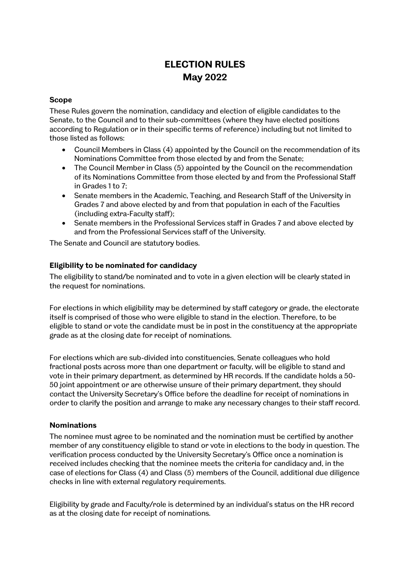# **ELECTION RULES May 2022**

## **Scope**

These Rules govern the nomination, candidacy and election of eligible candidates to the Senate, to the Council and to their sub-committees (where they have elected positions according to Regulation or in their specific terms of reference) including but not limited to those listed as follows:

- Council Members in Class (4) appointed by the Council on the recommendation of its Nominations Committee from those elected by and from the Senate;
- The Council Member in Class (5) appointed by the Council on the recommendation of its Nominations Committee from those elected by and from the Professional Staff in Grades 1 to 7;
- Senate members in the Academic, Teaching, and Research Staff of the University in Grades 7 and above elected by and from that population in each of the Faculties (including extra-Faculty staff);
- Senate members in the Professional Services staff in Grades 7 and above elected by and from the Professional Services staff of the University.

The Senate and Council are statutory bodies.

## **Eligibility to be nominated for candidacy**

The eligibility to stand/be nominated and to vote in a given election will be clearly stated in the request for nominations.

For elections in which eligibility may be determined by staff category or grade, the electorate itself is comprised of those who were eligible to stand in the election. Therefore, to be eligible to stand or vote the candidate must be in post in the constituency at the appropriate grade as at the closing date for receipt of nominations.

For elections which are sub-divided into constituencies, Senate colleagues who hold fractional posts across more than one department or faculty, will be eligible to stand and vote in their primary department, as determined by HR records. If the candidate holds a 50- 50 joint appointment or are otherwise unsure of their primary department, they should contact the University Secretary's Office before the deadline for receipt of nominations in order to clarify the position and arrange to make any necessary changes to their staff record.

#### **Nominations**

The nominee must agree to be nominated and the nomination must be certified by another member of any constituency eligible to stand or vote in elections to the body in question. The verification process conducted by the University Secretary's Office once a nomination is received includes checking that the nominee meets the criteria for candidacy and, in the case of elections for Class (4) and Class (5) members of the Council, additional due diligence checks in line with external regulatory requirements.

Eligibility by grade and Faculty/role is determined by an individual's status on the HR record as at the closing date for receipt of nominations.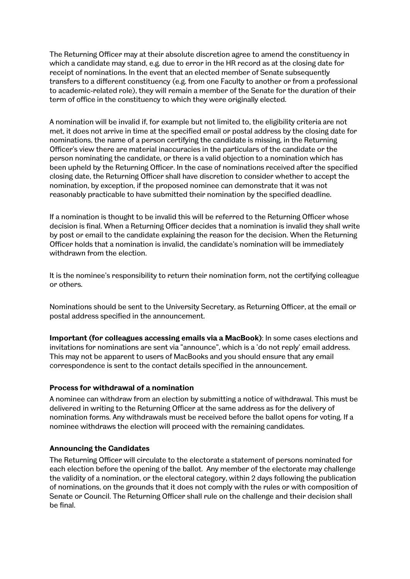The Returning Officer may at their absolute discretion agree to amend the constituency in which a candidate may stand, e.g. due to error in the HR record as at the closing date for receipt of nominations. In the event that an elected member of Senate subsequently transfers to a different constituency (e.g. from one Faculty to another or from a professional to academic-related role), they will remain a member of the Senate for the duration of their term of office in the constituency to which they were originally elected.

A nomination will be invalid if, for example but not limited to, the eligibility criteria are not met, it does not arrive in time at the specified email or postal address by the closing date for nominations, the name of a person certifying the candidate is missing, in the Returning Officer's view there are material inaccuracies in the particulars of the candidate or the person nominating the candidate, or there is a valid objection to a nomination which has been upheld by the Returning Officer. In the case of nominations received after the specified closing date, the Returning Officer shall have discretion to consider whether to accept the nomination, by exception, if the proposed nominee can demonstrate that it was not reasonably practicable to have submitted their nomination by the specified deadline.

If a nomination is thought to be invalid this will be referred to the Returning Officer whose decision is final. When a Returning Officer decides that a nomination is invalid they shall write by post or email to the candidate explaining the reason for the decision. When the Returning Officer holds that a nomination is invalid, the candidate's nomination will be immediately withdrawn from the election.

It is the nominee's responsibility to return their nomination form, not the certifying colleague or others.

Nominations should be sent to the University Secretary, as Returning Officer, at the email or postal address specified in the announcement.

**Important (for colleagues accessing emails via a MacBook)**: In some cases elections and invitations for nominations are sent via "announce", which is a 'do not reply' email address. This may not be apparent to users of MacBooks and you should ensure that any email correspondence is sent to the contact details specified in the announcement.

#### **Process for withdrawal of a nomination**

A nominee can withdraw from an election by submitting a notice of withdrawal. This must be delivered in writing to the Returning Officer at the same address as for the delivery of nomination forms. Any withdrawals must be received before the ballot opens for voting. If a nominee withdraws the election will proceed with the remaining candidates.

#### **Announcing the Candidates**

The Returning Officer will circulate to the electorate a statement of persons nominated for each election before the opening of the ballot. Any member of the electorate may challenge the validity of a nomination, or the electoral category, within 2 days following the publication of nominations, on the grounds that it does not comply with the rules or with composition of Senate or Council. The Returning Officer shall rule on the challenge and their decision shall be final.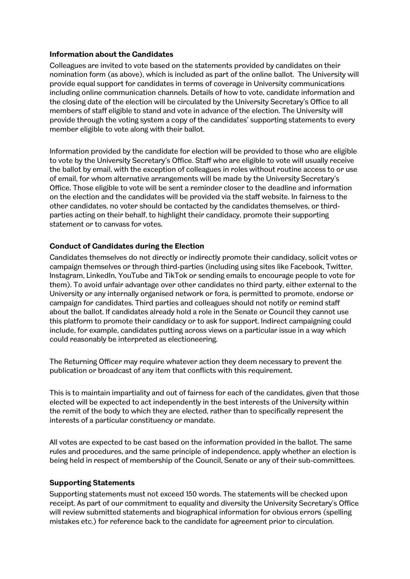#### **Information about the Candidates**

Colleagues are invited to vote based on the statements provided by candidates on their nomination form (as above), which is included as part of the online ballot. The University will provide equal support for candidates in terms of coverage in University communications including online communication channels. Details of how to vote, candidate information and the closing date of the election will be circulated by the University Secretary's Office to all members of staff eligible to stand and vote in advance of the election. The University will provide through the voting system a copy of the candidates' supporting statements to every member eligible to vote along with their ballot.

Information provided by the candidate for election will be provided to those who are eligible to vote by the University Secretary's Office. Staff who are eligible to vote will usually receive the ballot by email, with the exception of colleagues in roles without routine access to or use of email, for whom alternative arrangements will be made by the University Secretary's Office. Those eligible to vote will be sent a reminder closer to the deadline and information on the election and the candidates will be provided via the staff website. In fairness to the other candidates, no voter should be contacted by the candidates themselves, or thirdparties acting on their behalf, to highlight their candidacy, promote their supporting statement or to canvass for votes.

# **Conduct of Candidates during the Election**

Candidates themselves do not directly or indirectly promote their candidacy, solicit votes or campaign themselves or through third-parties (including using sites like Facebook, Twitter, Instagram, LinkedIn, YouTube and TikTok or sending emails to encourage people to vote for them). To avoid unfair advantage over other candidates no third party, either external to the University or any internally organised network or fora, is permitted to promote, endorse or campaign for candidates. Third parties and colleagues should not notify or remind staff about the ballot. If candidates already hold a role in the Senate or Council they cannot use this platform to promote their candidacy or to ask for support. Indirect campaigning could include, for example, candidates putting across views on a particular issue in a way which could reasonably be interpreted as electioneering.

The Returning Officer may require whatever action they deem necessary to prevent the publication or broadcast of any item that conflicts with this requirement.

This is to maintain impartiality and out of fairness for each of the candidates, given that those elected will be expected to act independently in the best interests of the University within the remit of the body to which they are elected, rather than to specifically represent the interests of a particular constituency or mandate.

All votes are expected to be cast based on the information provided in the ballot. The same rules and procedures, and the same principle of independence, apply whether an election is being held in respect of membership of the Council, Senate or any of their sub-committees.

## **Supporting Statements**

Supporting statements must not exceed 150 words. The statements will be checked upon receipt. As part of our commitment to equality and diversity the University Secretary's Office will review submitted statements and biographical information for obvious errors (spelling mistakes etc.) for reference back to the candidate for agreement prior to circulation.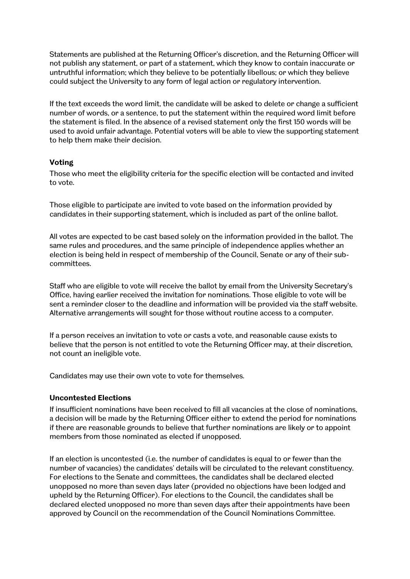Statements are published at the Returning Officer's discretion, and the Returning Officer will not publish any statement, or part of a statement, which they know to contain inaccurate or untruthful information; which they believe to be potentially libellous; or which they believe could subject the University to any form of legal action or regulatory intervention.

If the text exceeds the word limit, the candidate will be asked to delete or change a sufficient number of words, or a sentence, to put the statement within the required word limit before the statement is filed. In the absence of a revised statement only the first 150 words will be used to avoid unfair advantage. Potential voters will be able to view the supporting statement to help them make their decision.

#### **Voting**

Those who meet the eligibility criteria for the specific election will be contacted and invited to vote.

Those eligible to participate are invited to vote based on the information provided by candidates in their supporting statement, which is included as part of the online ballot.

All votes are expected to be cast based solely on the information provided in the ballot. The same rules and procedures, and the same principle of independence applies whether an election is being held in respect of membership of the Council, Senate or any of their subcommittees.

Staff who are eligible to vote will receive the ballot by email from the University Secretary's Office, having earlier received the invitation for nominations. Those eligible to vote will be sent a reminder closer to the deadline and information will be provided via the staff website. Alternative arrangements will sought for those without routine access to a computer.

If a person receives an invitation to vote or casts a vote, and reasonable cause exists to believe that the person is not entitled to vote the Returning Officer may, at their discretion, not count an ineligible vote.

Candidates may use their own vote to vote for themselves.

#### **Uncontested Elections**

If insufficient nominations have been received to fill all vacancies at the close of nominations, a decision will be made by the Returning Officer either to extend the period for nominations if there are reasonable grounds to believe that further nominations are likely or to appoint members from those nominated as elected if unopposed.

If an election is uncontested (i.e. the number of candidates is equal to or fewer than the number of vacancies) the candidates' details will be circulated to the relevant constituency. For elections to the Senate and committees, the candidates shall be declared elected unopposed no more than seven days later (provided no objections have been lodged and upheld by the Returning Officer). For elections to the Council, the candidates shall be declared elected unopposed no more than seven days after their appointments have been approved by Council on the recommendation of the Council Nominations Committee.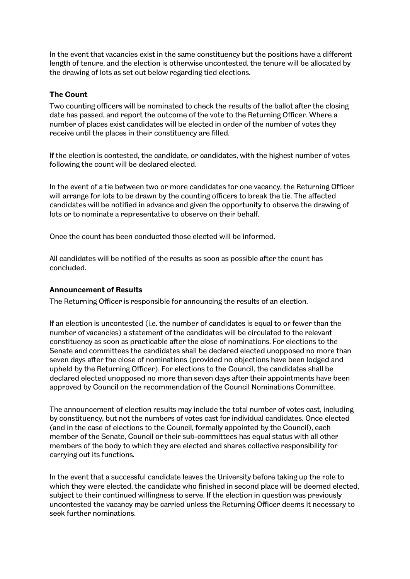In the event that vacancies exist in the same constituency but the positions have a different length of tenure, and the election is otherwise uncontested, the tenure will be allocated by the drawing of lots as set out below regarding tied elections.

#### **The Count**

Two counting officers will be nominated to check the results of the ballot after the closing date has passed, and report the outcome of the vote to the Returning Officer. Where a number of places exist candidates will be elected in order of the number of votes they receive until the places in their constituency are filled.

If the election is contested, the candidate, or candidates, with the highest number of votes following the count will be declared elected.

In the event of a tie between two or more candidates for one vacancy, the Returning Officer will arrange for lots to be drawn by the counting officers to break the tie. The affected candidates will be notified in advance and given the opportunity to observe the drawing of lots or to nominate a representative to observe on their behalf.

Once the count has been conducted those elected will be informed.

All candidates will be notified of the results as soon as possible after the count has concluded.

#### **Announcement of Results**

The Returning Officer is responsible for announcing the results of an election.

If an election is uncontested (i.e. the number of candidates is equal to or fewer than the number of vacancies) a statement of the candidates will be circulated to the relevant constituency as soon as practicable after the close of nominations. For elections to the Senate and committees the candidates shall be declared elected unopposed no more than seven days after the close of nominations (provided no objections have been lodged and upheld by the Returning Officer). For elections to the Council, the candidates shall be declared elected unopposed no more than seven days after their appointments have been approved by Council on the recommendation of the Council Nominations Committee.

The announcement of election results may include the total number of votes cast, including by constituency, but not the numbers of votes cast for individual candidates. Once elected (and in the case of elections to the Council, formally appointed by the Council), each member of the Senate, Council or their sub-committees has equal status with all other members of the body to which they are elected and shares collective responsibility for carrying out its functions.

In the event that a successful candidate leaves the University before taking up the role to which they were elected, the candidate who finished in second place will be deemed elected, subject to their continued willingness to serve. If the election in question was previously uncontested the vacancy may be carried unless the Returning Officer deems it necessary to seek further nominations.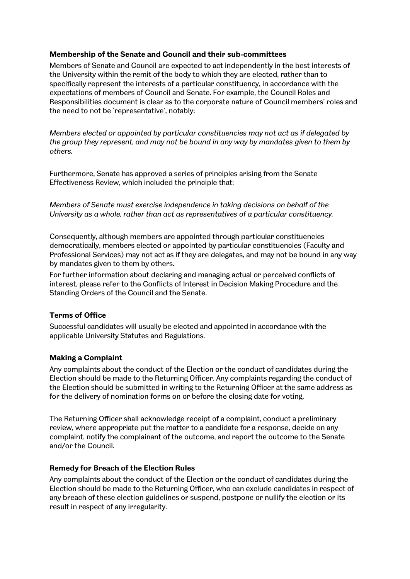## **Membership of the Senate and Council and their sub-committees**

Members of Senate and Council are expected to act independently in the best interests of the University within the remit of the body to which they are elected, rather than to specifically represent the interests of a particular constituency, in accordance with the expectations of members of Council and Senate. For example, the Council Roles and Responsibilities document is clear as to the corporate nature of Council members' roles and the need to not be 'representative', notably:

*Members elected or appointed by particular constituencies may not act as if delegated by the group they represent, and may not be bound in any way by mandates given to them by others.* 

Furthermore, Senate has approved a series of principles arising from the Senate Effectiveness Review, which included the principle that:

*Members of Senate must exercise independence in taking decisions on behalf of the University as a whole, rather than act as representatives of a particular constituency.*

Consequently, although members are appointed through particular constituencies democratically, members elected or appointed by particular constituencies (Faculty and Professional Services) may not act as if they are delegates, and may not be bound in any way by mandates given to them by others.

For further information about declaring and managing actual or perceived conflicts of interest, please refer to the Conflicts of Interest in Decision Making Procedure and the Standing Orders of the Council and the Senate.

#### **Terms of Office**

Successful candidates will usually be elected and appointed in accordance with the applicable University Statutes and Regulations.

## **Making a Complaint**

Any complaints about the conduct of the Election or the conduct of candidates during the Election should be made to the Returning Officer. Any complaints regarding the conduct of the Election should be submitted in writing to the Returning Officer at the same address as for the delivery of nomination forms on or before the closing date for voting.

The Returning Officer shall acknowledge receipt of a complaint, conduct a preliminary review, where appropriate put the matter to a candidate for a response, decide on any complaint, notify the complainant of the outcome, and report the outcome to the Senate and/or the Council.

#### **Remedy for Breach of the Election Rules**

Any complaints about the conduct of the Election or the conduct of candidates during the Election should be made to the Returning Officer, who can exclude candidates in respect of any breach of these election guidelines or suspend, postpone or nullify the election or its result in respect of any irregularity.